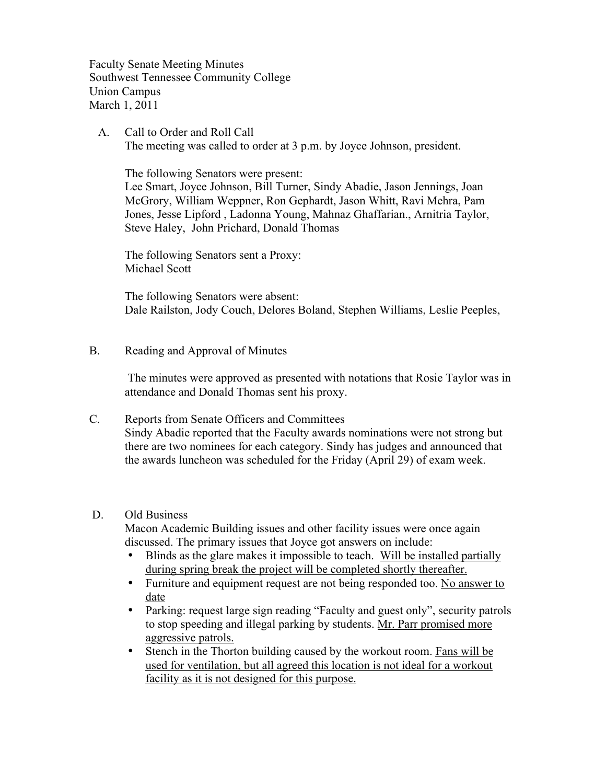Faculty Senate Meeting Minutes Southwest Tennessee Community College Union Campus March 1, 2011

 A. Call to Order and Roll Call The meeting was called to order at 3 p.m. by Joyce Johnson, president.

The following Senators were present:

Lee Smart, Joyce Johnson, Bill Turner, Sindy Abadie, Jason Jennings, Joan McGrory, William Weppner, Ron Gephardt, Jason Whitt, Ravi Mehra, Pam Jones, Jesse Lipford , Ladonna Young, Mahnaz Ghaffarian., Arnitria Taylor, Steve Haley, John Prichard, Donald Thomas

The following Senators sent a Proxy: Michael Scott

The following Senators were absent: Dale Railston, Jody Couch, Delores Boland, Stephen Williams, Leslie Peeples,

B. Reading and Approval of Minutes

 The minutes were approved as presented with notations that Rosie Taylor was in attendance and Donald Thomas sent his proxy.

C. Reports from Senate Officers and Committees Sindy Abadie reported that the Faculty awards nominations were not strong but there are two nominees for each category. Sindy has judges and announced that the awards luncheon was scheduled for the Friday (April 29) of exam week.

#### D. Old Business

Macon Academic Building issues and other facility issues were once again discussed. The primary issues that Joyce got answers on include:

- Blinds as the glare makes it impossible to teach. Will be installed partially during spring break the project will be completed shortly thereafter.
- Furniture and equipment request are not being responded too. No answer to date
- Parking: request large sign reading "Faculty and guest only", security patrols to stop speeding and illegal parking by students. Mr. Parr promised more aggressive patrols.
- Stench in the Thorton building caused by the workout room. Fans will be used for ventilation, but all agreed this location is not ideal for a workout facility as it is not designed for this purpose.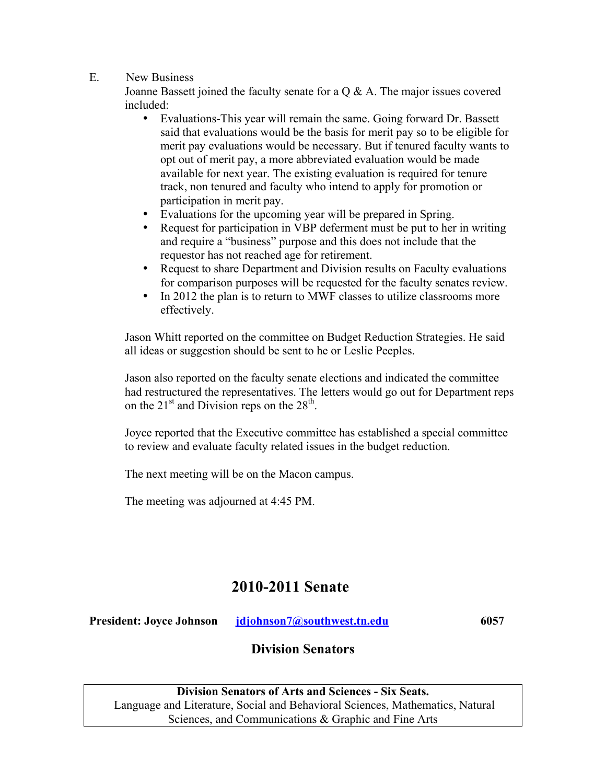#### E. New Business

Joanne Bassett joined the faculty senate for a  $Q & A$ . The major issues covered included:

- Evaluations-This year will remain the same. Going forward Dr. Bassett said that evaluations would be the basis for merit pay so to be eligible for merit pay evaluations would be necessary. But if tenured faculty wants to opt out of merit pay, a more abbreviated evaluation would be made available for next year. The existing evaluation is required for tenure track, non tenured and faculty who intend to apply for promotion or participation in merit pay.
- Evaluations for the upcoming year will be prepared in Spring.
- Request for participation in VBP deferment must be put to her in writing and require a "business" purpose and this does not include that the requestor has not reached age for retirement.
- Request to share Department and Division results on Faculty evaluations for comparison purposes will be requested for the faculty senates review.
- In 2012 the plan is to return to MWF classes to utilize classrooms more effectively.

Jason Whitt reported on the committee on Budget Reduction Strategies. He said all ideas or suggestion should be sent to he or Leslie Peeples.

Jason also reported on the faculty senate elections and indicated the committee had restructured the representatives. The letters would go out for Department reps on the  $21<sup>st</sup>$  and Division reps on the  $28<sup>th</sup>$ .

Joyce reported that the Executive committee has established a special committee to review and evaluate faculty related issues in the budget reduction.

The next meeting will be on the Macon campus.

The meeting was adjourned at 4:45 PM.

# **2010-2011 Senate**

**President: Joyce Johnson** *idjohnson7@southwest.tn.edu* 6057

## **Division Senators**

**Division Senators of Arts and Sciences - Six Seats.** Language and Literature, Social and Behavioral Sciences, Mathematics, Natural Sciences, and Communications & Graphic and Fine Arts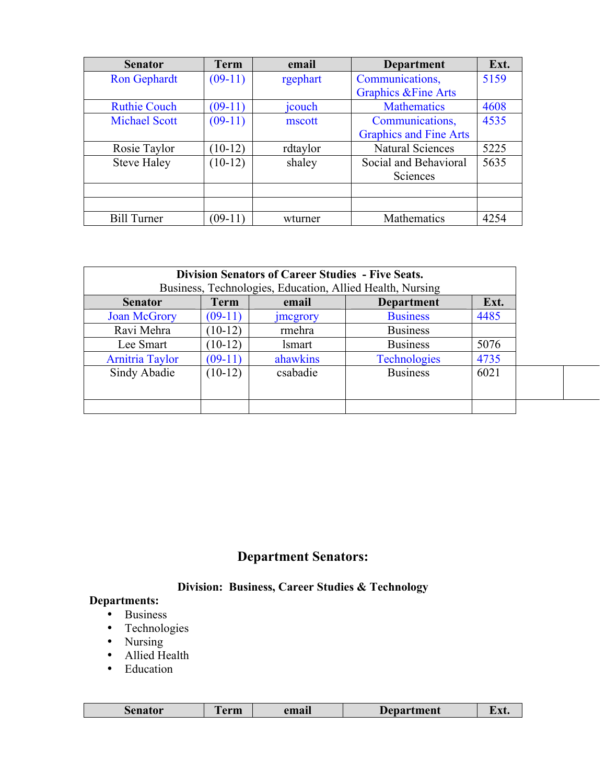| <b>Senator</b>       | <b>Term</b> | email    | Department                      | Ext. |
|----------------------|-------------|----------|---------------------------------|------|
| <b>Ron Gephardt</b>  | $(09-11)$   | rgephart | Communications,                 | 5159 |
|                      |             |          | <b>Graphics &amp; Fine Arts</b> |      |
| <b>Ruthie Couch</b>  | $(09-11)$   | jcouch   | <b>Mathematics</b>              | 4608 |
| <b>Michael Scott</b> | $(09-11)$   | mscott   | Communications,                 | 4535 |
|                      |             |          | <b>Graphics and Fine Arts</b>   |      |
| Rosie Taylor         | $10-12)$    | rdtaylor | <b>Natural Sciences</b>         | 5225 |
| <b>Steve Haley</b>   | $(10-12)$   | shaley   | Social and Behavioral           | 5635 |
|                      |             |          | Sciences                        |      |
|                      |             |          |                                 |      |
|                      |             |          |                                 |      |
| <b>Bill Turner</b>   | $(09-11)$   | wturner  | Mathematics                     | 4254 |

| <b>Division Senators of Career Studies - Five Seats.</b><br>Business, Technologies, Education, Allied Health, Nursing |             |                                    |                     |      |  |  |
|-----------------------------------------------------------------------------------------------------------------------|-------------|------------------------------------|---------------------|------|--|--|
| <b>Senator</b>                                                                                                        | <b>Term</b> | Ext.<br>email<br><b>Department</b> |                     |      |  |  |
| <b>Joan McGrory</b>                                                                                                   | $(09-11)$   | <i>s</i> mcgrory                   | <b>Business</b>     | 4485 |  |  |
| Ravi Mehra                                                                                                            | $(10-12)$   | rmehra                             | <b>Business</b>     |      |  |  |
| Lee Smart                                                                                                             | $10-12$     | <i>lsmart</i>                      | <b>Business</b>     | 5076 |  |  |
| <b>Arnitria Taylor</b>                                                                                                | $(09-11)$   | ahawkins                           | <b>Technologies</b> | 4735 |  |  |
| Sindy Abadie                                                                                                          | $(10-12)$   | csabadie                           | <b>Business</b>     | 6021 |  |  |
|                                                                                                                       |             |                                    |                     |      |  |  |
|                                                                                                                       |             |                                    |                     |      |  |  |

# **Department Senators:**

### **Division: Business, Career Studies & Technology**

### **Departments:**

- Business
- Technologies
- Nursing
- Allied Health
- Education

| --<br>senator<br>erm | email | <b>Department</b> | $\mathbf{w}$<br>L'AU |
|----------------------|-------|-------------------|----------------------|
|----------------------|-------|-------------------|----------------------|